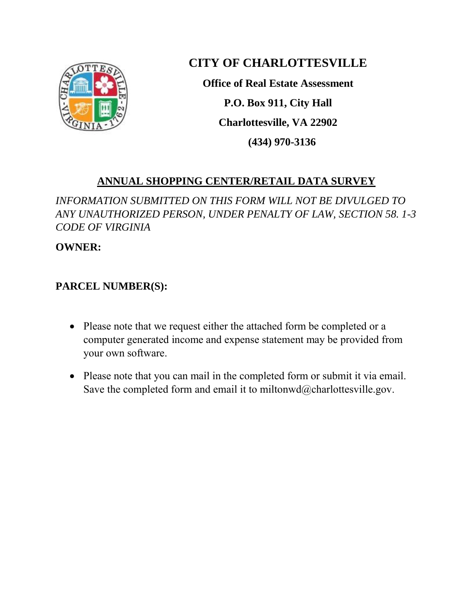

## **CITY OF CHARLOTTESVILLE**

**Office of Real Estate Assessment P.O. Box 911, City Hall Charlottesville, VA 22902 (434) 970-3136**

## **ANNUAL SHOPPING CENTER/RETAIL DATA SURVEY**

*INFORMATION SUBMITTED ON THIS FORM WILL NOT BE DIVULGED TO ANY UNAUTHORIZED PERSON, UNDER PENALTY OF LAW, SECTION 58. 1-3 CODE OF VIRGINIA*

**OWNER:**

## **PARCEL NUMBER(S):**

- Please note that we request either the attached form be completed or a computer generated income and expense statement may be provided from your own software.
- Please note that you can mail in the completed form or submit it via email. Save the completed form and email it to miltonwd $@$ charlottesville.gov.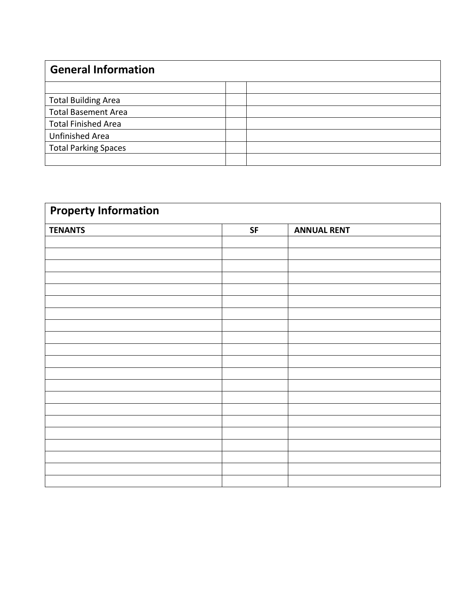| <b>General Information</b>  |  |  |
|-----------------------------|--|--|
|                             |  |  |
| <b>Total Building Area</b>  |  |  |
| <b>Total Basement Area</b>  |  |  |
| <b>Total Finished Area</b>  |  |  |
| Unfinished Area             |  |  |
| <b>Total Parking Spaces</b> |  |  |
|                             |  |  |

| <b>Property Information</b> |            |                    |  |  |
|-----------------------------|------------|--------------------|--|--|
| <b>TENANTS</b>              | ${\sf SF}$ | <b>ANNUAL RENT</b> |  |  |
|                             |            |                    |  |  |
|                             |            |                    |  |  |
|                             |            |                    |  |  |
|                             |            |                    |  |  |
|                             |            |                    |  |  |
|                             |            |                    |  |  |
|                             |            |                    |  |  |
|                             |            |                    |  |  |
|                             |            |                    |  |  |
|                             |            |                    |  |  |
|                             |            |                    |  |  |
|                             |            |                    |  |  |
|                             |            |                    |  |  |
|                             |            |                    |  |  |
|                             |            |                    |  |  |
|                             |            |                    |  |  |
|                             |            |                    |  |  |
|                             |            |                    |  |  |
|                             |            |                    |  |  |
|                             |            |                    |  |  |
|                             |            |                    |  |  |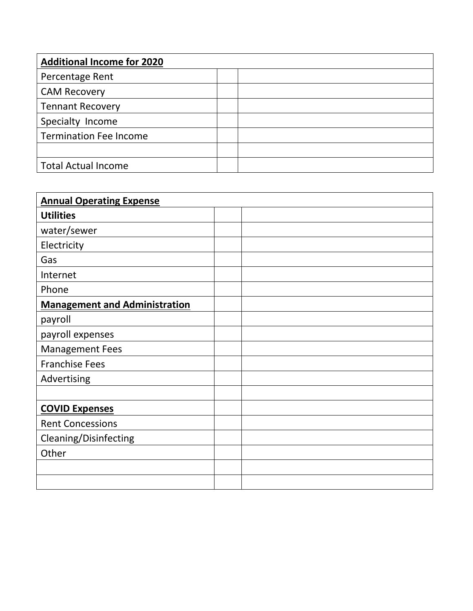| <b>Additional Income for 2020</b> |  |
|-----------------------------------|--|
| Percentage Rent                   |  |
| <b>CAM Recovery</b>               |  |
| <b>Tennant Recovery</b>           |  |
| Specialty Income                  |  |
| <b>Termination Fee Income</b>     |  |
|                                   |  |
| <b>Total Actual Income</b>        |  |

| <b>Annual Operating Expense</b>      |  |
|--------------------------------------|--|
| <b>Utilities</b>                     |  |
| water/sewer                          |  |
| Electricity                          |  |
| Gas                                  |  |
| Internet                             |  |
| Phone                                |  |
| <b>Management and Administration</b> |  |
| payroll                              |  |
| payroll expenses                     |  |
| <b>Management Fees</b>               |  |
| <b>Franchise Fees</b>                |  |
| Advertising                          |  |
|                                      |  |
| <b>COVID Expenses</b>                |  |
| <b>Rent Concessions</b>              |  |
| Cleaning/Disinfecting                |  |
| Other                                |  |
|                                      |  |
|                                      |  |